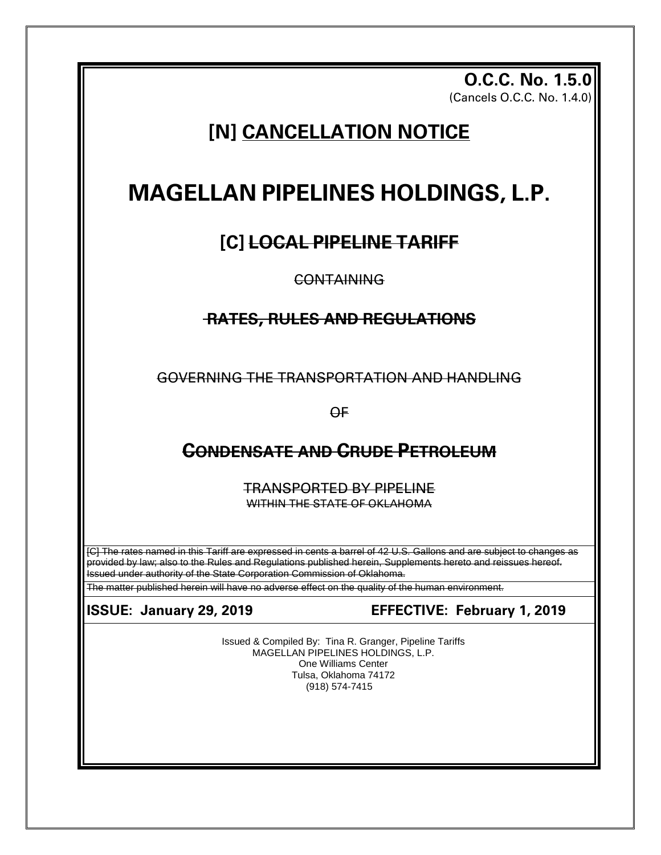**O.C.C. No. 1.5.0** (Cancels O.C.C. No. 1.4.0)

# **[N] CANCELLATION NOTICE**

# **MAGELLAN PIPELINES HOLDINGS, L.P.**

# **[C] LOCAL PIPELINE TARIFF**

**CONTAINING** 

## **RATES, RULES AND REGULATIONS**

GOVERNING THE TRANSPORTATION AND HANDLING

OF

# **CONDENSATE AND CRUDE PETROLEUM**

TRANSPORTED BY PIPELINE WITHIN THE STATE OF OKLAHOMA

[C] The rates named in this Tariff are expressed in cents a barrel of 42 U.S. Gallons and are subject to changes as provided by law; also to the Rules and Regulations published herein, Supplements hereto and reissues hereof. Issued under authority of the State Corporation Commission of Oklahoma.

The matter published herein will have no adverse effect on the quality of the human environment.

### **ISSUE: January 29, 2019 EFFECTIVE: February 1, 2019**

Issued & Compiled By: Tina R. Granger, Pipeline Tariffs MAGELLAN PIPELINES HOLDINGS, L.P. One Williams Center Tulsa, Oklahoma 74172 (918) 574-7415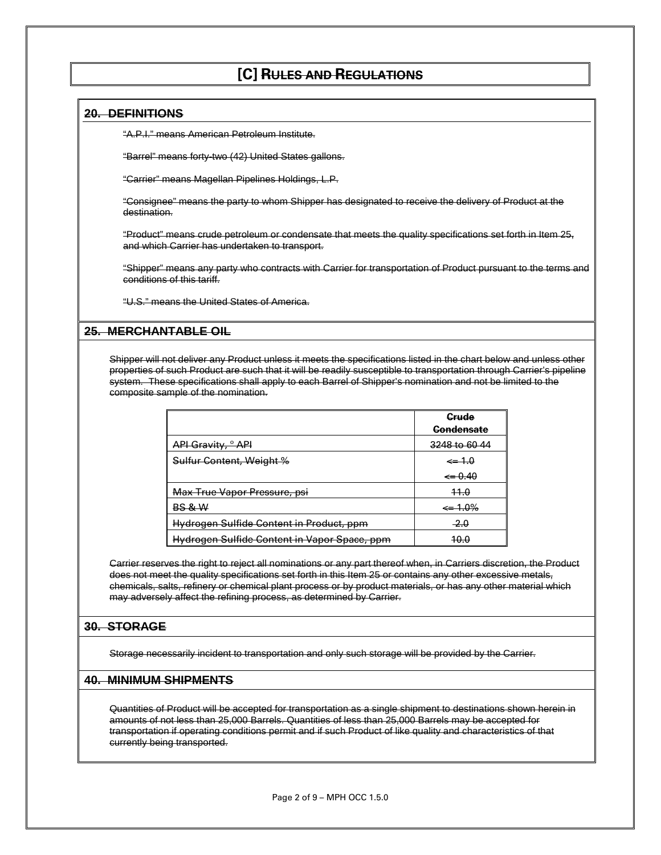### **[C] RULES AND REGULATIONS**

#### **20. DEFINITIONS**

"A.P.I." means American Petroleum Institute.

"Barrel" means forty-two (42) United States gallons.

"Carrier" means Magellan Pipelines Holdings, L.P.

"Consignee" means the party to whom Shipper has designated to receive the delivery of Product at the destination.

"Product" means crude petroleum or condensate that meets the quality specifications set forth in Item 25, and which Carrier has undertaken to transport.

"Shipper" means any party who contracts with Carrier for transportation of Product pursuant to the terms and conditions of this tariff.

"U.S." means the United States of America.

#### **25. MERCHANTABLE OIL**

Shipper will not deliver any Product unless it meets the specifications listed in the chart below and unless other properties of such Product are such that it will be readily susceptible to transportation through Carrier's pipeline system. These specifications shall apply to each Barrel of Shipper's nomination and not be limited to the composite sample of the nomination.

|                                              | <u>Grude</u><br><b>Gondensate</b> |
|----------------------------------------------|-----------------------------------|
| API Gravity, <sup>o</sup> API                | 3248 to 60 44                     |
| Sulfur Content, Weight %                     | $\leftarrow 1.0$                  |
|                                              | $\leftarrow 0.40$                 |
| Max True Vapor Pressure, psi                 | 11.0                              |
| <b>BS &amp; W</b>                            | $\leftarrow 1.0\%$                |
| Hydrogen Sulfide Content in Product, ppm     | $-2.0$                            |
| Hydrogen Sulfide Content in Vapor Space, ppm | <del>10.0</del>                   |

Carrier reserves the right to reject all nominations or any part thereof when, in Carriers discretion, the Product does not meet the quality specifications set forth in this Item 25 or contains any other excessive metals, chemicals, salts, refinery or chemical plant process or by product materials, or has any other material which may adversely affect the refining process, as determined by Carrier.

#### **30. STORAGE**

Storage necessarily incident to transportation and only such storage will be provided by the Carrier.

#### **40. MINIMUM SHIPMENTS**

Quantities of Product will be accepted for transportation as a single shipment to destinations shown herein in amounts of not less than 25,000 Barrels. Quantities of less than 25,000 Barrels may be accepted for transportation if operating conditions permit and if such Product of like quality and characteristics of that currently being transported.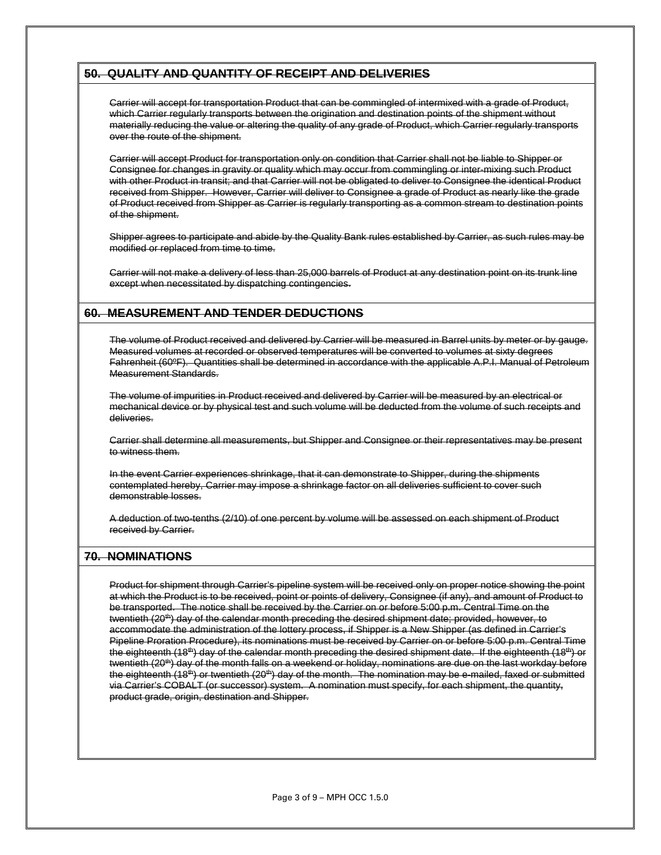#### **50. QUALITY AND QUANTITY OF RECEIPT AND DELIVERIES**

Carrier will accept for transportation Product that can be commingled of intermixed with a grade of Product, which Carrier regularly transports between the origination and destination points of the shipment without materially reducing the value or altering the quality of any grade of Product, which Carrier regularly transports over the route of the shipment.

Carrier will accept Product for transportation only on condition that Carrier shall not be liable to Shipper or Consignee for changes in gravity or quality which may occur from commingling or inter-mixing such Product with other Product in transit; and that Carrier will not be obligated to deliver to Consignee the identical Product received from Shipper. However, Carrier will deliver to Consignee a grade of Product as nearly like the grade of Product received from Shipper as Carrier is regularly transporting as a common stream to destination points of the shipment.

Shipper agrees to participate and abide by the Quality Bank rules established by Carrier, as such rules may be modified or replaced from time to time.

Carrier will not make a delivery of less than 25,000 barrels of Product at any destination point on its trunk line except when necessitated by dispatching contingencies.

#### **60. MEASUREMENT AND TENDER DEDUCTIONS**

The volume of Product received and delivered by Carrier will be measured in Barrel units by meter or by gauge. Measured volumes at recorded or observed temperatures will be converted to volumes at sixty degrees Fahrenheit (60ºF). Quantities shall be determined in accordance with the applicable A.P.I. Manual of Petroleum Measurement Standards.

The volume of impurities in Product received and delivered by Carrier will be measured by an electrical or mechanical device or by physical test and such volume will be deducted from the volume of such receipts and deliveries.

Carrier shall determine all measurements, but Shipper and Consignee or their representatives may be present to witness them.

In the event Carrier experiences shrinkage, that it can demonstrate to Shipper, during the shipments contemplated hereby, Carrier may impose a shrinkage factor on all deliveries sufficient to cover such demonstrable losses.

A deduction of two-tenths (2/10) of one percent by volume will be assessed on each shipment of Product received by Carrier.

#### **70. NOMINATIONS**

Product for shipment through Carrier's pipeline system will be received only on proper notice showing the point at which the Product is to be received, point or points of delivery, Consignee (if any), and amount of Product to be transported. The notice shall be received by the Carrier on or before 5:00 p.m. Central Time on the twentieth (20<sup>th</sup>) day of the calendar month preceding the desired shipment date; provided, however, to accommodate the administration of the lottery process, if Shipper is a New Shipper (as defined in Carrier's Pipeline Proration Procedure), its nominations must be received by Carrier on or before 5:00 p.m. Central Time the eighteenth (18<sup>th</sup>) day of the calendar month preceding the desired shipment date. If the eighteenth (18<sup>th</sup>) or twentieth (20th) day of the month falls on a weekend or holiday, nominations are due on the last workday before the eighteenth (18<sup>th</sup>) or twentieth (20<sup>th</sup>) day of the month. The nomination may be e-mailed, faxed or submitted via Carrier's COBALT (or successor) system. A nomination must specify, for each shipment, the quantity, product grade, origin, destination and Shipper.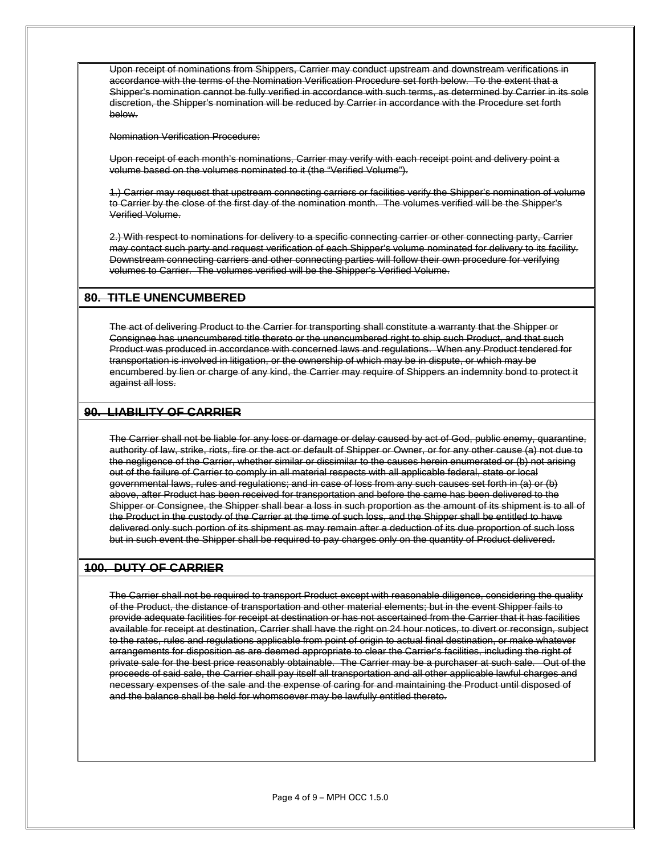Upon receipt of nominations from Shippers, Carrier may conduct upstream and downstream verifications in accordance with the terms of the Nomination Verification Procedure set forth below. To the extent that a Shipper's nomination cannot be fully verified in accordance with such terms, as determined by Carrier in its sole discretion, the Shipper's nomination will be reduced by Carrier in accordance with the Procedure set forth below.

Nomination Verification Procedure:

Upon receipt of each month's nominations, Carrier may verify with each receipt point and delivery point a volume based on the volumes nominated to it (the "Verified Volume").

1.) Carrier may request that upstream connecting carriers or facilities verify the Shipper's nomination of volume to Carrier by the close of the first day of the nomination month. The volumes verified will be the Shipper's Verified Volume.

2.) With respect to nominations for delivery to a specific connecting carrier or other connecting party, Carrier may contact such party and request verification of each Shipper's volume nominated for delivery to its facility. Downstream connecting carriers and other connecting parties will follow their own procedure for verifying volumes to Carrier. The volumes verified will be the Shipper's Verified Volume.

#### **80. TITLE UNENCUMBERED**

The act of delivering Product to the Carrier for transporting shall constitute a warranty that the Shipper or Consignee has unencumbered title thereto or the unencumbered right to ship such Product, and that such Product was produced in accordance with concerned laws and regulations. When any Product tendered for transportation is involved in litigation, or the ownership of which may be in dispute, or which may be encumbered by lien or charge of any kind, the Carrier may require of Shippers an indemnity bond to protect it against all loss.

#### **90. LIABILITY OF CARRIER**

The Carrier shall not be liable for any loss or damage or delay caused by act of God, public enemy, quarantine, authority of law, strike, riots, fire or the act or default of Shipper or Owner, or for any other cause (a) not due to the negligence of the Carrier, whether similar or dissimilar to the causes herein enumerated or (b) not arising out of the failure of Carrier to comply in all material respects with all applicable federal, state or local governmental laws, rules and regulations; and in case of loss from any such causes set forth in (a) or (b) above, after Product has been received for transportation and before the same has been delivered to the Shipper or Consignee, the Shipper shall bear a loss in such proportion as the amount of its shipment is to all of the Product in the custody of the Carrier at the time of such loss, and the Shipper shall be entitled to have delivered only such portion of its shipment as may remain after a deduction of its due proportion of such loss but in such event the Shipper shall be required to pay charges only on the quantity of Product delivered.

#### **100. DUTY OF CARRIER**

The Carrier shall not be required to transport Product except with reasonable diligence, considering the quality of the Product, the distance of transportation and other material elements; but in the event Shipper fails to provide adequate facilities for receipt at destination or has not ascertained from the Carrier that it has facilities available for receipt at destination, Carrier shall have the right on 24 hour notices, to divert or reconsign, subject to the rates, rules and regulations applicable from point of origin to actual final destination, or make whatever arrangements for disposition as are deemed appropriate to clear the Carrier's facilities, including the right of private sale for the best price reasonably obtainable. The Carrier may be a purchaser at such sale. Out of the proceeds of said sale, the Carrier shall pay itself all transportation and all other applicable lawful charges and necessary expenses of the sale and the expense of caring for and maintaining the Product until disposed of and the balance shall be held for whomsoever may be lawfully entitled thereto.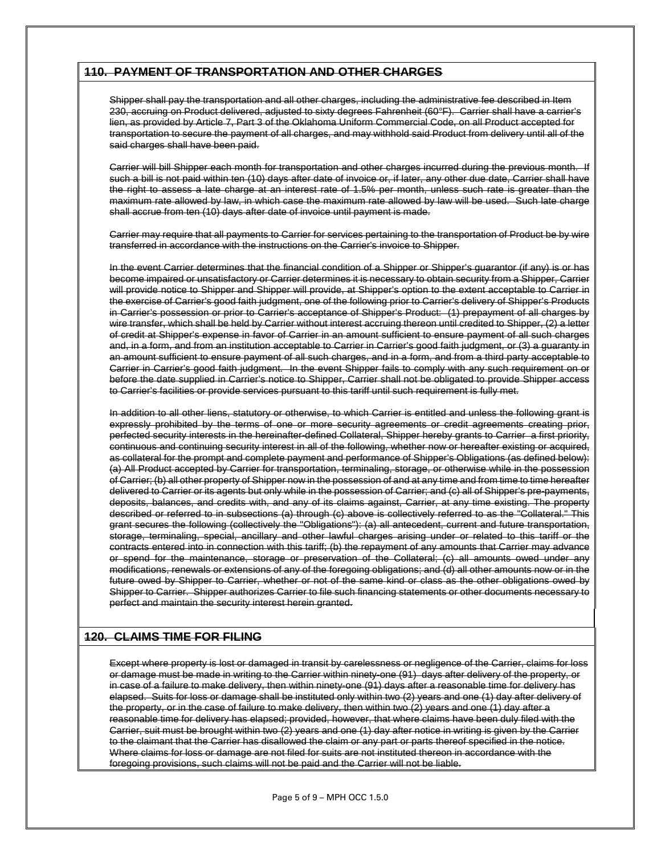#### **110. PAYMENT OF TRANSPORTATION AND OTHER CHARGES**

Shipper shall pay the transportation and all other charges, including the administrative fee described in Item 230, accruing on Product delivered, adjusted to sixty degrees Fahrenheit (60°F). Carrier shall have a carrier's lien, as provided by Article 7, Part 3 of the Oklahoma Uniform Commercial Code, on all Product accepted for transportation to secure the payment of all charges, and may withhold said Product from delivery until all of the said charges shall have been paid.

Carrier will bill Shipper each month for transportation and other charges incurred during the previous month. If such a bill is not paid within ten (10) days after date of invoice or, if later, any other due date, Carrier shall have the right to assess a late charge at an interest rate of 1.5% per month, unless such rate is greater than the maximum rate allowed by law, in which case the maximum rate allowed by law will be used. Such late charge shall accrue from ten (10) days after date of invoice until payment is made.

Carrier may require that all payments to Carrier for services pertaining to the transportation of Product be by wire transferred in accordance with the instructions on the Carrier's invoice to Shipper.

In the event Carrier determines that the financial condition of a Shipper or Shipper's guarantor (if any) is or has become impaired or unsatisfactory or Carrier determines it is necessary to obtain security from a Shipper, Carrier will provide notice to Shipper and Shipper will provide, at Shipper's option to the extent acceptable to Carrier in the exercise of Carrier's good faith judgment, one of the following prior to Carrier's delivery of Shipper's Products in Carrier's possession or prior to Carrier's acceptance of Shipper's Product: (1) prepayment of all charges by wire transfer, which shall be held by Carrier without interest accruing thereon until credited to Shipper, (2) a letter of credit at Shipper's expense in favor of Carrier in an amount sufficient to ensure payment of all such charges and, in a form, and from an institution acceptable to Carrier in Carrier's good faith judgment, or (3) a guaranty in an amount sufficient to ensure payment of all such charges, and in a form, and from a third party acceptable to Carrier in Carrier's good faith judgment. In the event Shipper fails to comply with any such requirement on or before the date supplied in Carrier's notice to Shipper, Carrier shall not be obligated to provide Shipper access to Carrier's facilities or provide services pursuant to this tariff until such requirement is fully met.

In addition to all other liens, statutory or otherwise, to which Carrier is entitled and unless the following grant is expressly prohibited by the terms of one or more security agreements or credit agreements creating prior, perfected security interests in the hereinafter-defined Collateral, Shipper hereby grants to Carrier a first priority, continuous and continuing security interest in all of the following, whether now or hereafter existing or acquired, as collateral for the prompt and complete payment and performance of Shipper's Obligations (as defined below): (a) All Product accepted by Carrier for transportation, terminaling, storage, or otherwise while in the possession of Carrier; (b) all other property of Shipper now in the possession of and at any time and from time to time hereafter delivered to Carrier or its agents but only while in the possession of Carrier; and (c) all of Shipper's pre-payments, deposits, balances, and credits with, and any of its claims against, Carrier, at any time existing. The property described or referred to in subsections (a) through (c) above is collectively referred to as the "Collateral." This grant secures the following (collectively the "Obligations"): (a) all antecedent, current and future transportation, storage, terminaling, special, ancillary and other lawful charges arising under or related to this tariff or the contracts entered into in connection with this tariff; (b) the repayment of any amounts that Carrier may advance or spend for the maintenance, storage or preservation of the Collateral; (c) all amounts owed under any modifications, renewals or extensions of any of the foregoing obligations; and (d) all other amounts now or in the future owed by Shipper to Carrier, whether or not of the same kind or class as the other obligations owed by Shipper to Carrier. Shipper authorizes Carrier to file such financing statements or other documents necessary to perfect and maintain the security interest herein granted.

#### **120. CLAIMS TIME FOR FILING**

Except where property is lost or damaged in transit by carelessness or negligence of the Carrier, claims for loss or damage must be made in writing to the Carrier within ninety-one (91) days after delivery of the property, or in case of a failure to make delivery, then within ninety-one (91) days after a reasonable time for delivery has elapsed. Suits for loss or damage shall be instituted only within two (2) years and one (1) day after delivery of the property, or in the case of failure to make delivery, then within two (2) years and one (1) day after a reasonable time for delivery has elapsed; provided, however, that where claims have been duly filed with the Carrier, suit must be brought within two (2) years and one (1) day after notice in writing is given by the Carrier to the claimant that the Carrier has disallowed the claim or any part or parts thereof specified in the notice. Where claims for loss or damage are not filed for suits are not instituted thereon in accordance with the foregoing provisions, such claims will not be paid and the Carrier will not be liable.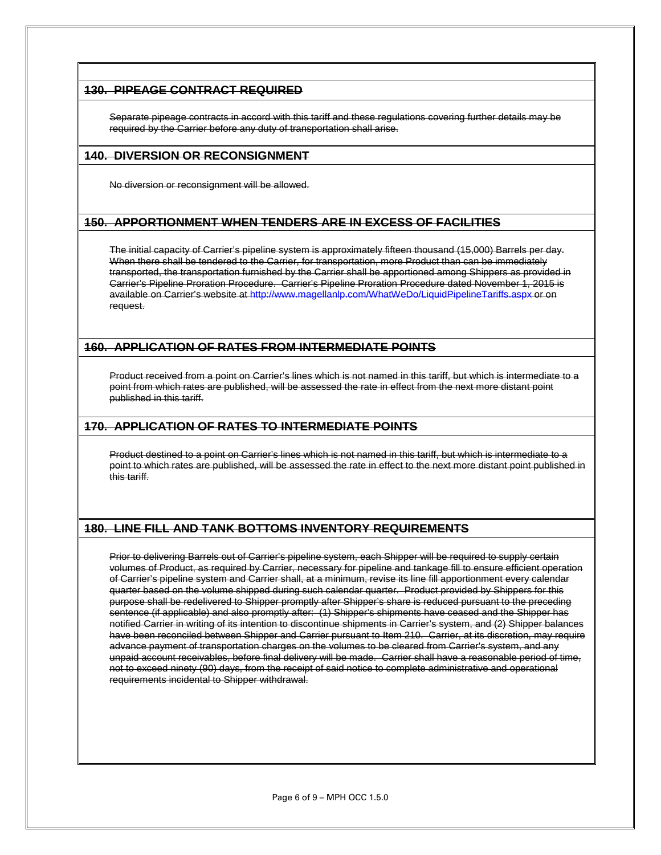#### **130. PIPEAGE CONTRACT REQUIRED**

Separate pipeage contracts in accord with this tariff and these regulations covering further details may be required by the Carrier before any duty of transportation shall arise.

#### **140. DIVERSION OR RECONSIGNMENT**

No diversion or reconsignment will be allowed.

#### **150. APPORTIONMENT WHEN TENDERS ARE IN EXCESS OF FACILITIES**

The initial capacity of Carrier's pipeline system is approximately fifteen thousand (15,000) Barrels per day. When there shall be tendered to the Carrier, for transportation, more Product than can be immediately transported, the transportation furnished by the Carrier shall be apportioned among Shippers as provided in Carrier's Pipeline Proration Procedure. Carrier's Pipeline Proration Procedure dated November 1, 2015 is available on Carrier's website a[t http://www.magellanlp.com/WhatWeDo/LiquidPipelineTariffs.aspx](http://www.magellanlp.com/WhatWeDo/LiquidPipelineTariffs.aspx) or on request.

#### **160. APPLICATION OF RATES FROM INTERMEDIATE POINTS**

Product received from a point on Carrier's lines which is not named in this tariff, but which is intermediate to a point from which rates are published, will be assessed the rate in effect from the next more distant point published in this tariff.

#### **170. APPLICATION OF RATES TO INTERMEDIATE POINTS**

Product destined to a point on Carrier's lines which is not named in this tariff, but which is intermediate to a point to which rates are published, will be assessed the rate in effect to the next more distant point published in this tariff.

#### **180. LINE FILL AND TANK BOTTOMS INVENTORY REQUIREMENTS**

Prior to delivering Barrels out of Carrier's pipeline system, each Shipper will be required to supply certain volumes of Product, as required by Carrier, necessary for pipeline and tankage fill to ensure efficient operation of Carrier's pipeline system and Carrier shall, at a minimum, revise its line fill apportionment every calendar quarter based on the volume shipped during such calendar quarter. Product provided by Shippers for this purpose shall be redelivered to Shipper promptly after Shipper's share is reduced pursuant to the preceding sentence (if applicable) and also promptly after: (1) Shipper's shipments have ceased and the Shipper has notified Carrier in writing of its intention to discontinue shipments in Carrier's system, and (2) Shipper balances have been reconciled between Shipper and Carrier pursuant to Item 210. Carrier, at its discretion, may require advance payment of transportation charges on the volumes to be cleared from Carrier's system, and any unpaid account receivables, before final delivery will be made. Carrier shall have a reasonable period of time, not to exceed ninety (90) days, from the receipt of said notice to complete administrative and operational requirements incidental to Shipper withdrawal.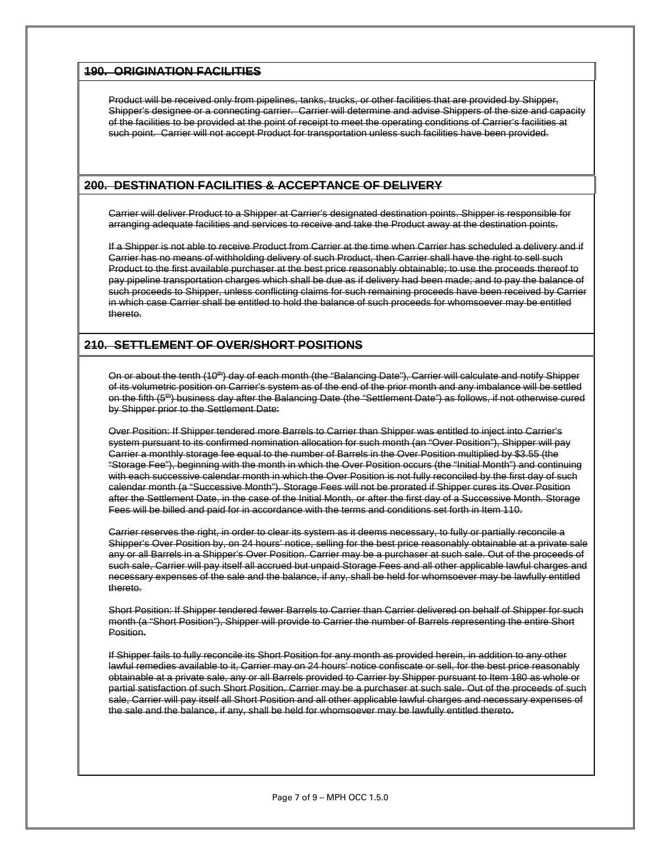#### **190. ORIGINATION FACILITIES**

Product will be received only from pipelines, tanks, trucks, or other facilities that are provided by Shipper, Shipper's designee or a connecting carrier. Carrier will determine and advise Shippers of the size and capacity of the facilities to be provided at the point of receipt to meet the operating conditions of Carrier's facilities at such point. Carrier will not accept Product for transportation unless such facilities have been provided.

#### **200. DESTINATION FACILITIES & ACCEPTANCE OF DELIVERY**

Carrier will deliver Product to a Shipper at Carrier's designated destination points. Shipper is responsible for arranging adequate facilities and services to receive and take the Product away at the destination points.

If a Shipper is not able to receive Product from Carrier at the time when Carrier has scheduled a delivery and if Carrier has no means of withholding delivery of such Product, then Carrier shall have the right to sell such Product to the first available purchaser at the best price reasonably obtainable; to use the proceeds thereof to pay pipeline transportation charges which shall be due as if delivery had been made; and to pay the balance of such proceeds to Shipper, unless conflicting claims for such remaining proceeds have been received by Carrier in which case Carrier shall be entitled to hold the balance of such proceeds for whomsoever may be entitled thereto.

#### **210. SETTLEMENT OF OVER/SHORT POSITIONS**

On or about the tenth (10<sup>th</sup>) day of each month (the "Balancing Date"), Carrier will calculate and notify Shipper of its volumetric position on Carrier's system as of the end of the prior month and any imbalance will be settled on the fifth (5<sup>th</sup>) business day after the Balancing Date (the "Settlement Date") as follows, if not otherwise cured by Shipper prior to the Settlement Date:

Over Position: If Shipper tendered more Barrels to Carrier than Shipper was entitled to inject into Carrier's system pursuant to its confirmed nomination allocation for such month (an "Over Position"), Shipper will pay Carrier a monthly storage fee equal to the number of Barrels in the Over Position multiplied by \$3.55 (the "Storage Fee"), beginning with the month in which the Over Position occurs (the "Initial Month") and continuing with each successive calendar month in which the Over Position is not fully reconciled by the first day of such calendar month (a "Successive Month"). Storage Fees will not be prorated if Shipper cures its Over Position after the Settlement Date, in the case of the Initial Month, or after the first day of a Successive Month. Storage Fees will be billed and paid for in accordance with the terms and conditions set forth in Item 110.

Carrier reserves the right, in order to clear its system as it deems necessary, to fully or partially reconcile a Shipper's Over Position by, on 24 hours' notice, selling for the best price reasonably obtainable at a private sale any or all Barrels in a Shipper's Over Position. Carrier may be a purchaser at such sale. Out of the proceeds of such sale, Carrier will pay itself all accrued but unpaid Storage Fees and all other applicable lawful charges and necessary expenses of the sale and the balance, if any, shall be held for whomsoever may be lawfully entitled thereto.

Short Position: If Shipper tendered fewer Barrels to Carrier than Carrier delivered on behalf of Shipper for such month (a "Short Position"), Shipper will provide to Carrier the number of Barrels representing the entire Short Position.

If Shipper fails to fully reconcile its Short Position for any month as provided herein, in addition to any other lawful remedies available to it, Carrier may on 24 hours' notice confiscate or sell, for the best price reasonably obtainable at a private sale, any or all Barrels provided to Carrier by Shipper pursuant to Item 180 as whole or partial satisfaction of such Short Position. Carrier may be a purchaser at such sale. Out of the proceeds of such sale, Carrier will pay itself all Short Position and all other applicable lawful charges and necessary expenses of the sale and the balance, if any, shall be held for whomsoever may be lawfully entitled thereto.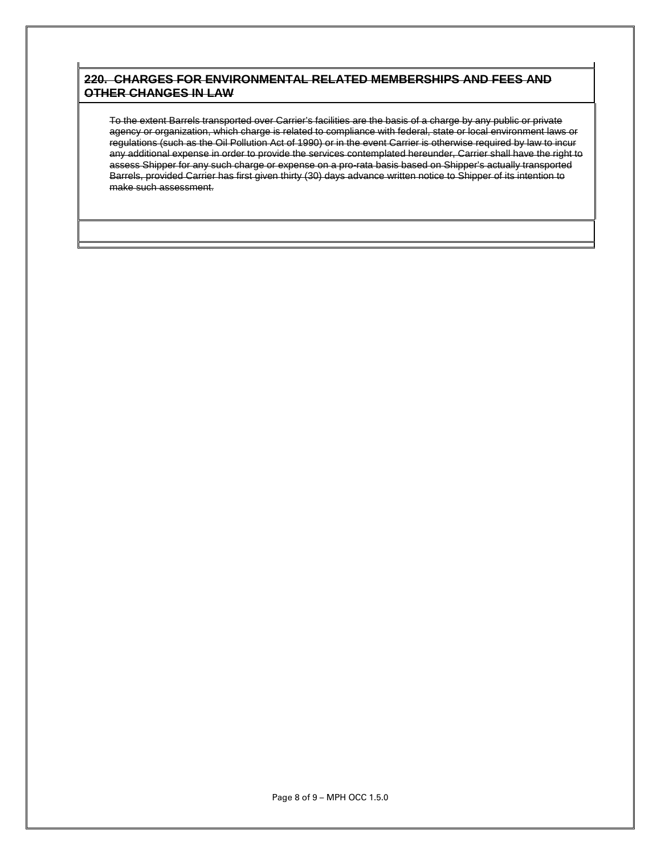#### **220. CHARGES FOR ENVIRONMENTAL RELATED MEMBERSHIPS AND FEES AND OTHER CHANGES IN LAW**

To the extent Barrels transported over Carrier's facilities are the basis of a charge by any public or private agency or organization, which charge is related to compliance with federal, state or local environment laws or regulations (such as the Oil Pollution Act of 1990) or in the event Carrier is otherwise required by law to incur any additional expense in order to provide the services contemplated hereunder, Carrier shall have the right to assess Shipper for any such charge or expense on a pro-rata basis based on Shipper's actually transported Barrels, provided Carrier has first given thirty (30) days advance written notice to Shipper of its intention to make such assessment.